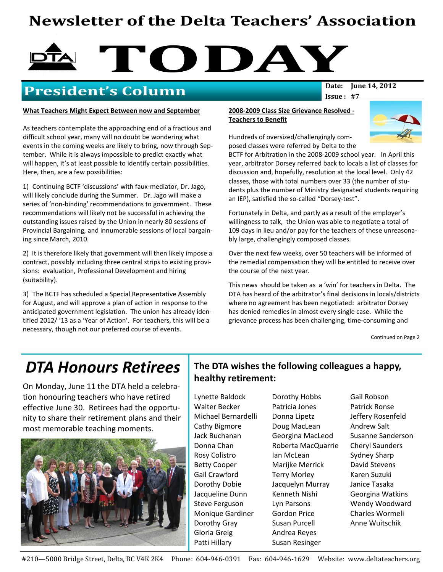# Newsletter of the Delta Teachers' Association

# TODAY<br>Date: |une 14, 2012

## President's Column

#### What Teachers Might Expect Between now and September

As teachers contemplate the approaching end of a fractious and difficult school year, many will no doubt be wondering what events in the coming weeks are likely to bring, now through September. While it is always impossible to predict exactly what will happen, it's at least possible to identify certain possibilities. Here, then, are a few possibilities:

1) Continuing BCTF 'discussions' with faux-mediator, Dr. Jago, will likely conclude during the Summer. Dr. Jago will make a series of 'non-binding' recommendations to government. These recommendations will likely not be successful in achieving the outstanding issues raised by the Union in nearly 80 sessions of Provincial Bargaining, and innumerable sessions of local bargaining since March, 2010.

2) It is therefore likely that government will then likely impose a contract, possibly including three central strips to existing provisions: evaluation, Professional Development and hiring (suitability).

3) The BCTF has scheduled a Special Representative Assembly for August, and will approve a plan of action in response to the anticipated government legislation. The union has already identified 2012/ '13 as a 'Year of Action'. For teachers, this will be a necessary, though not our preferred course of events.

#### 2008-2009 Class Size Grievance Resolved - Teachers to Benefit



Hundreds of oversized/challengingly composed classes were referred by Delta to the

BCTF for Arbitration in the 2008-2009 school year. In April this year, arbitrator Dorsey referred back to locals a list of classes for discussion and, hopefully, resolution at the local level. Only 42 classes, those with total numbers over 33 (the number of students plus the number of Ministry designated students requiring an IEP), satisfied the so-called "Dorsey-test".

Issue : #7

Fortunately in Delta, and partly as a result of the employer's willingness to talk, the Union was able to negotiate a total of 109 days in lieu and/or pay for the teachers of these unreasonably large, challengingly composed classes.

Over the next few weeks, over 50 teachers will be informed of the remedial compensation they will be entitled to receive over the course of the next year.

This news should be taken as a 'win' for teachers in Delta. The DTA has heard of the arbitrator's final decisions in locals/districts where no agreement has been negotiated: arbitrator Dorsey has denied remedies in almost every single case. While the grievance process has been challenging, time-consuming and

Continued on Page 2

# DTA Honours Retirees

On Monday, June 11 the DTA held a celebration honouring teachers who have retired effective June 30. Retirees had the opportunity to share their retirement plans and their most memorable teaching moments.



#### The DTA wishes the following colleagues a happy, healthy retirement:

Lynette Baldock Walter Becker Michael Bernardelli Cathy Bigmore Jack Buchanan Donna Chan Rosy Colistro Betty Cooper Gail Crawford Dorothy Dobie Jacqueline Dunn Steve Ferguson Monique Gardiner Dorothy Gray Gloria Greig Patti Hillary

Dorothy Hobbs Patricia Jones Donna Lipetz Doug MacLean Georgina MacLeod Roberta MacQuarrie Ian McLean Marijke Merrick Terry Morley Jacquelyn Murray Kenneth Nishi Lyn Parsons Gordon Price Susan Purcell Andrea Reyes Susan Resinger

Gail Robson Patrick Ronse Jeffery Rosenfeld Andrew Salt Susanne Sanderson Cheryl Saunders Sydney Sharp David Stevens Karen Suzuki Janice Tasaka Georgina Watkins Wendy Woodward Charles Wormeli Anne Wuitschik